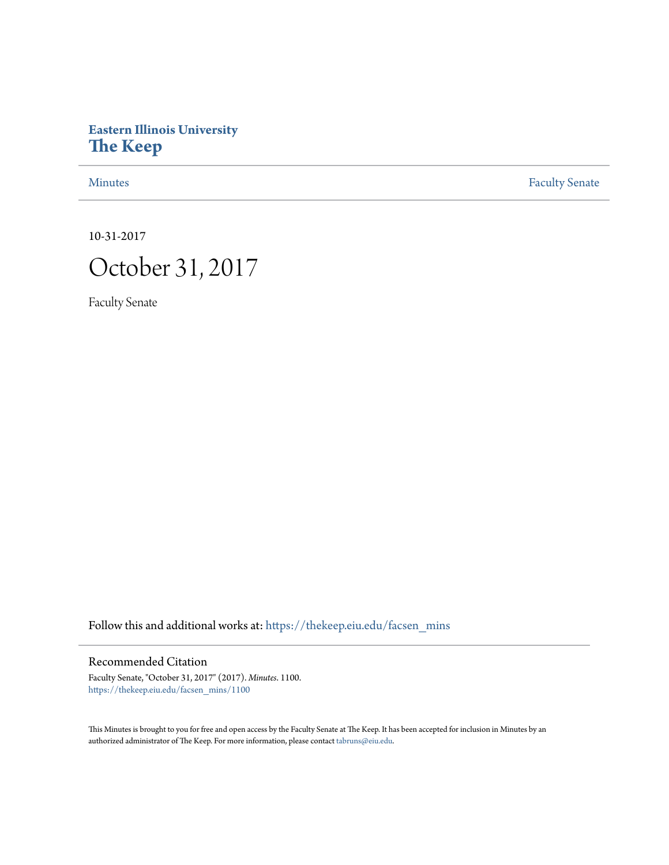# **Eastern Illinois University [The Keep](https://thekeep.eiu.edu?utm_source=thekeep.eiu.edu%2Ffacsen_mins%2F1100&utm_medium=PDF&utm_campaign=PDFCoverPages)**

[Minutes](https://thekeep.eiu.edu/facsen_mins?utm_source=thekeep.eiu.edu%2Ffacsen_mins%2F1100&utm_medium=PDF&utm_campaign=PDFCoverPages) **[Faculty Senate](https://thekeep.eiu.edu/fac_senate?utm_source=thekeep.eiu.edu%2Ffacsen_mins%2F1100&utm_medium=PDF&utm_campaign=PDFCoverPages)** 

10-31-2017

# October 31, 2017

Faculty Senate

Follow this and additional works at: [https://thekeep.eiu.edu/facsen\\_mins](https://thekeep.eiu.edu/facsen_mins?utm_source=thekeep.eiu.edu%2Ffacsen_mins%2F1100&utm_medium=PDF&utm_campaign=PDFCoverPages)

# Recommended Citation

Faculty Senate, "October 31, 2017" (2017). *Minutes*. 1100. [https://thekeep.eiu.edu/facsen\\_mins/1100](https://thekeep.eiu.edu/facsen_mins/1100?utm_source=thekeep.eiu.edu%2Ffacsen_mins%2F1100&utm_medium=PDF&utm_campaign=PDFCoverPages)

This Minutes is brought to you for free and open access by the Faculty Senate at The Keep. It has been accepted for inclusion in Minutes by an authorized administrator of The Keep. For more information, please contact [tabruns@eiu.edu](mailto:tabruns@eiu.edu).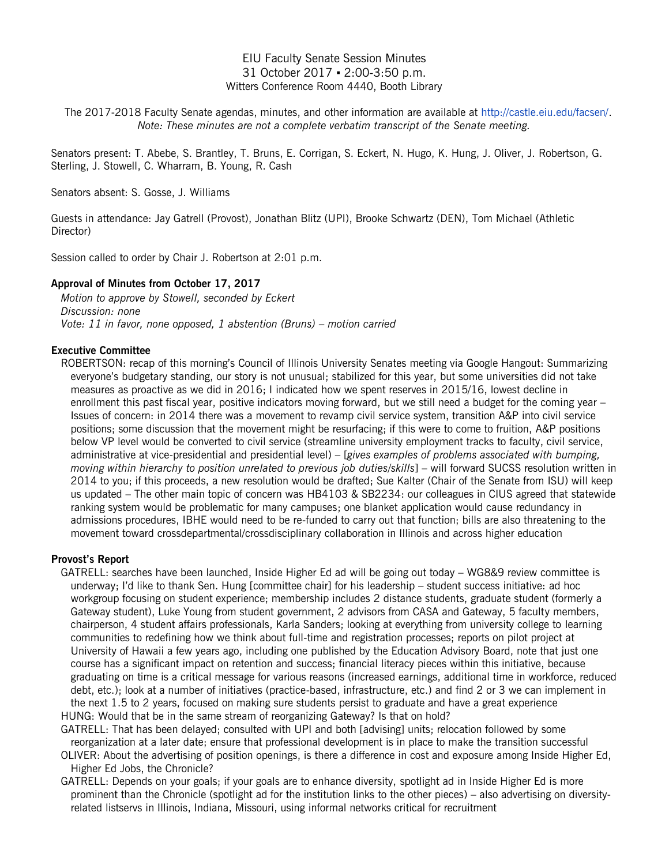### EIU Faculty Senate Session Minutes 31 October 2017 ▪ 2:00-3:50 p.m. Witters Conference Room 4440, Booth Library

The 2017-2018 Faculty Senate agendas, minutes, and other information are available at [http://castle.eiu.edu/facsen/.](http://castle.eiu.edu/facsen/) *Note: These minutes are not a complete verbatim transcript of the Senate meeting.*

Senators present: T. Abebe, S. Brantley, T. Bruns, E. Corrigan, S. Eckert, N. Hugo, K. Hung, J. Oliver, J. Robertson, G. Sterling, J. Stowell, C. Wharram, B. Young, R. Cash

Senators absent: S. Gosse, J. Williams

Guests in attendance: Jay Gatrell (Provost), Jonathan Blitz (UPI), Brooke Schwartz (DEN), Tom Michael (Athletic Director)

Session called to order by Chair J. Robertson at 2:01 p.m.

#### **Approval of Minutes from October 17, 2017**

*Motion to approve by Stowell, seconded by Eckert Discussion: none Vote: 11 in favor, none opposed, 1 abstention (Bruns) – motion carried*

#### **Executive Committee**

ROBERTSON: recap of this morning's Council of Illinois University Senates meeting via Google Hangout: Summarizing everyone's budgetary standing, our story is not unusual; stabilized for this year, but some universities did not take measures as proactive as we did in 2016; I indicated how we spent reserves in 2015/16, lowest decline in enrollment this past fiscal year, positive indicators moving forward, but we still need a budget for the coming year -Issues of concern: in 2014 there was a movement to revamp civil service system, transition A&P into civil service positions; some discussion that the movement might be resurfacing; if this were to come to fruition, A&P positions below VP level would be converted to civil service (streamline university employment tracks to faculty, civil service, administrative at vice-presidential and presidential level) – [*gives examples of problems associated with bumping, moving within hierarchy to position unrelated to previous job duties/skills*] – will forward SUCSS resolution written in 2014 to you; if this proceeds, a new resolution would be drafted; Sue Kalter (Chair of the Senate from ISU) will keep us updated – The other main topic of concern was HB4103 & SB2234: our colleagues in CIUS agreed that statewide ranking system would be problematic for many campuses; one blanket application would cause redundancy in admissions procedures, IBHE would need to be re-funded to carry out that function; bills are also threatening to the movement toward crossdepartmental/crossdisciplinary collaboration in Illinois and across higher education

#### **Provost's Report**

GATRELL: searches have been launched, Inside Higher Ed ad will be going out today – WG8&9 review committee is underway; I'd like to thank Sen. Hung [committee chair] for his leadership – student success initiative: ad hoc workgroup focusing on student experience; membership includes 2 distance students, graduate student (formerly a Gateway student), Luke Young from student government, 2 advisors from CASA and Gateway, 5 faculty members, chairperson, 4 student affairs professionals, Karla Sanders; looking at everything from university college to learning communities to redefining how we think about full-time and registration processes; reports on pilot project at University of Hawaii a few years ago, including one published by the Education Advisory Board, note that just one course has a significant impact on retention and success; financial literacy pieces within this initiative, because graduating on time is a critical message for various reasons (increased earnings, additional time in workforce, reduced debt, etc.); look at a number of initiatives (practice-based, infrastructure, etc.) and find 2 or 3 we can implement in the next 1.5 to 2 years, focused on making sure students persist to graduate and have a great experience HUNG: Would that be in the same stream of reorganizing Gateway? Is that on hold?

GATRELL: That has been delayed; consulted with UPI and both [advising] units; relocation followed by some reorganization at a later date; ensure that professional development is in place to make the transition successful

OLIVER: About the advertising of position openings, is there a difference in cost and exposure among Inside Higher Ed, Higher Ed Jobs, the Chronicle?

GATRELL: Depends on your goals; if your goals are to enhance diversity, spotlight ad in Inside Higher Ed is more prominent than the Chronicle (spotlight ad for the institution links to the other pieces) – also advertising on diversityrelated listservs in Illinois, Indiana, Missouri, using informal networks critical for recruitment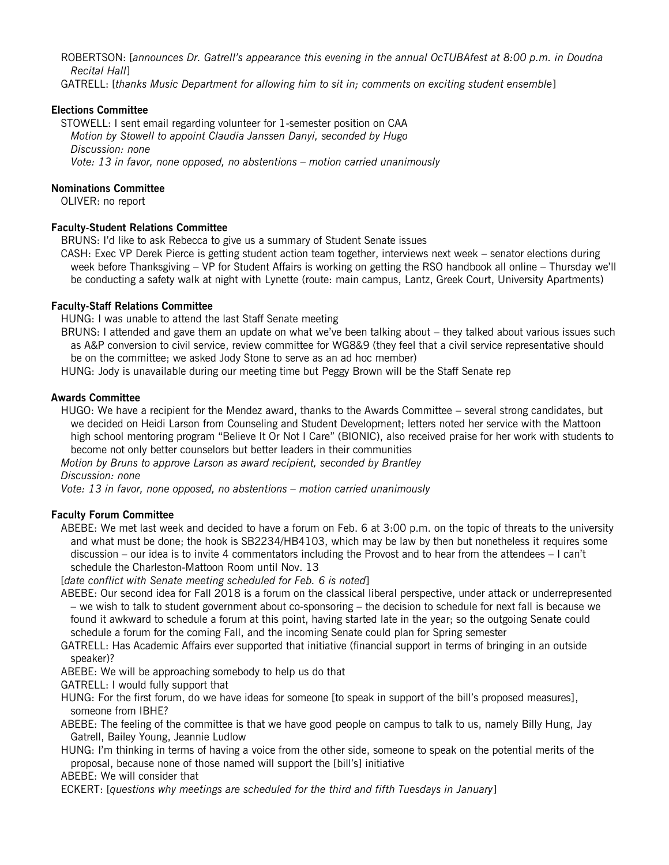ROBERTSON: [*announces Dr. Gatrell's appearance this evening in the annual OcTUBAfest at 8:00 p.m. in Doudna Recital Hall*]

GATRELL: [*thanks Music Department for allowing him to sit in; comments on exciting student ensemble*]

#### **Elections Committee**

STOWELL: I sent email regarding volunteer for 1-semester position on CAA *Motion by Stowell to appoint Claudia Janssen Danyi, seconded by Hugo Discussion: none Vote: 13 in favor, none opposed, no abstentions – motion carried unanimously*

#### **Nominations Committee**

OLIVER: no report

#### **Faculty-Student Relations Committee**

BRUNS: I'd like to ask Rebecca to give us a summary of Student Senate issues

CASH: Exec VP Derek Pierce is getting student action team together, interviews next week – senator elections during week before Thanksgiving – VP for Student Affairs is working on getting the RSO handbook all online – Thursday we'll be conducting a safety walk at night with Lynette (route: main campus, Lantz, Greek Court, University Apartments)

#### **Faculty-Staff Relations Committee**

HUNG: I was unable to attend the last Staff Senate meeting

BRUNS: I attended and gave them an update on what we've been talking about – they talked about various issues such as A&P conversion to civil service, review committee for WG8&9 (they feel that a civil service representative should be on the committee; we asked Jody Stone to serve as an ad hoc member)

HUNG: Jody is unavailable during our meeting time but Peggy Brown will be the Staff Senate rep

#### **Awards Committee**

HUGO: We have a recipient for the Mendez award, thanks to the Awards Committee – several strong candidates, but we decided on Heidi Larson from Counseling and Student Development; letters noted her service with the Mattoon high school mentoring program "Believe It Or Not I Care" (BIONIC), also received praise for her work with students to become not only better counselors but better leaders in their communities

*Motion by Bruns to approve Larson as award recipient, seconded by Brantley*

*Discussion: none*

*Vote: 13 in favor, none opposed, no abstentions – motion carried unanimously*

#### **Faculty Forum Committee**

ABEBE: We met last week and decided to have a forum on Feb. 6 at 3:00 p.m. on the topic of threats to the university and what must be done; the hook is SB2234/HB4103, which may be law by then but nonetheless it requires some discussion – our idea is to invite 4 commentators including the Provost and to hear from the attendees – I can't schedule the Charleston-Mattoon Room until Nov. 13

[*date conflict with Senate meeting scheduled for Feb. 6 is noted*]

ABEBE: Our second idea for Fall 2018 is a forum on the classical liberal perspective, under attack or underrepresented – we wish to talk to student government about co-sponsoring – the decision to schedule for next fall is because we found it awkward to schedule a forum at this point, having started late in the year; so the outgoing Senate could schedule a forum for the coming Fall, and the incoming Senate could plan for Spring semester

GATRELL: Has Academic Affairs ever supported that initiative (financial support in terms of bringing in an outside speaker)?

ABEBE: We will be approaching somebody to help us do that

GATRELL: I would fully support that

HUNG: For the first forum, do we have ideas for someone [to speak in support of the bill's proposed measures], someone from IBHE?

ABEBE: The feeling of the committee is that we have good people on campus to talk to us, namely Billy Hung, Jay Gatrell, Bailey Young, Jeannie Ludlow

HUNG: I'm thinking in terms of having a voice from the other side, someone to speak on the potential merits of the proposal, because none of those named will support the [bill's] initiative

ABEBE: We will consider that

ECKERT: [*questions why meetings are scheduled for the third and fifth Tuesdays in January*]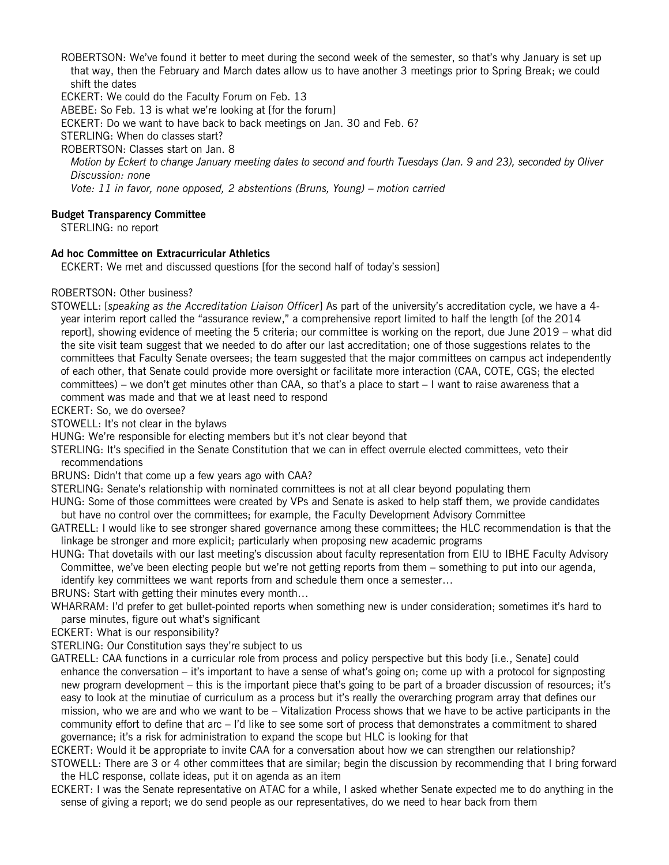ROBERTSON: We've found it better to meet during the second week of the semester, so that's why January is set up that way, then the February and March dates allow us to have another 3 meetings prior to Spring Break; we could shift the dates

ECKERT: We could do the Faculty Forum on Feb. 13

ABEBE: So Feb. 13 is what we're looking at [for the forum]

ECKERT: Do we want to have back to back meetings on Jan. 30 and Feb. 6?

STERLING: When do classes start?

ROBERTSON: Classes start on Jan. 8

*Motion by Eckert to change January meeting dates to second and fourth Tuesdays (Jan. 9 and 23), seconded by Oliver Discussion: none*

*Vote: 11 in favor, none opposed, 2 abstentions (Bruns, Young) – motion carried*

#### **Budget Transparency Committee**

STERLING: no report

## **Ad hoc Committee on Extracurricular Athletics**

ECKERT: We met and discussed questions [for the second half of today's session]

#### ROBERTSON: Other business?

STOWELL: [*speaking as the Accreditation Liaison Officer*] As part of the university's accreditation cycle, we have a 4 year interim report called the "assurance review," a comprehensive report limited to half the length [of the 2014 report], showing evidence of meeting the 5 criteria; our committee is working on the report, due June 2019 – what did the site visit team suggest that we needed to do after our last accreditation; one of those suggestions relates to the committees that Faculty Senate oversees; the team suggested that the major committees on campus act independently of each other, that Senate could provide more oversight or facilitate more interaction (CAA, COTE, CGS; the elected committees) – we don't get minutes other than CAA, so that's a place to start – I want to raise awareness that a comment was made and that we at least need to respond

ECKERT: So, we do oversee?

STOWELL: It's not clear in the bylaws

HUNG: We're responsible for electing members but it's not clear beyond that

- STERLING: It's specified in the Senate Constitution that we can in effect overrule elected committees, veto their recommendations
- BRUNS: Didn't that come up a few years ago with CAA?
- STERLING: Senate's relationship with nominated committees is not at all clear beyond populating them
- HUNG: Some of those committees were created by VPs and Senate is asked to help staff them, we provide candidates but have no control over the committees; for example, the Faculty Development Advisory Committee
- GATRELL: I would like to see stronger shared governance among these committees; the HLC recommendation is that the linkage be stronger and more explicit; particularly when proposing new academic programs
- HUNG: That dovetails with our last meeting's discussion about faculty representation from EIU to IBHE Faculty Advisory Committee, we've been electing people but we're not getting reports from them – something to put into our agenda, identify key committees we want reports from and schedule them once a semester…
- BRUNS: Start with getting their minutes every month…
- WHARRAM: I'd prefer to get bullet-pointed reports when something new is under consideration; sometimes it's hard to parse minutes, figure out what's significant
- ECKERT: What is our responsibility?
- STERLING: Our Constitution says they're subject to us
- GATRELL: CAA functions in a curricular role from process and policy perspective but this body [i.e., Senate] could enhance the conversation – it's important to have a sense of what's going on; come up with a protocol for signposting new program development – this is the important piece that's going to be part of a broader discussion of resources; it's easy to look at the minutiae of curriculum as a process but it's really the overarching program array that defines our mission, who we are and who we want to be – Vitalization Process shows that we have to be active participants in the community effort to define that arc – I'd like to see some sort of process that demonstrates a commitment to shared governance; it's a risk for administration to expand the scope but HLC is looking for that

ECKERT: Would it be appropriate to invite CAA for a conversation about how we can strengthen our relationship?

- STOWELL: There are 3 or 4 other committees that are similar; begin the discussion by recommending that I bring forward the HLC response, collate ideas, put it on agenda as an item
- ECKERT: I was the Senate representative on ATAC for a while, I asked whether Senate expected me to do anything in the sense of giving a report; we do send people as our representatives, do we need to hear back from them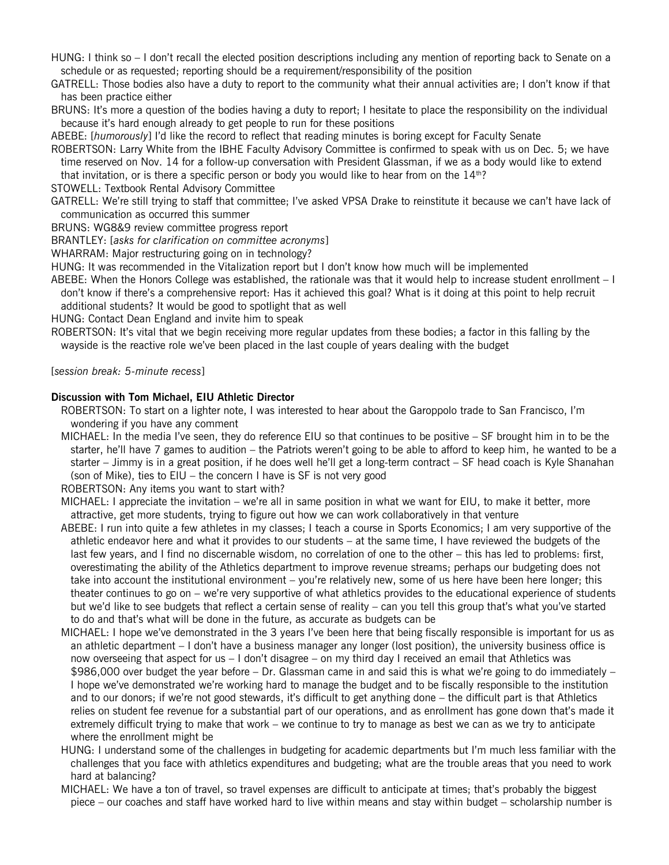HUNG: I think so – I don't recall the elected position descriptions including any mention of reporting back to Senate on a schedule or as requested; reporting should be a requirement/responsibility of the position

GATRELL: Those bodies also have a duty to report to the community what their annual activities are; I don't know if that has been practice either

BRUNS: It's more a question of the bodies having a duty to report; I hesitate to place the responsibility on the individual because it's hard enough already to get people to run for these positions

ABEBE: [*humorously*] I'd like the record to reflect that reading minutes is boring except for Faculty Senate

ROBERTSON: Larry White from the IBHE Faculty Advisory Committee is confirmed to speak with us on Dec. 5; we have time reserved on Nov. 14 for a follow-up conversation with President Glassman, if we as a body would like to extend that invitation, or is there a specific person or body you would like to hear from on the  $14<sup>th</sup>$ ?

STOWELL: Textbook Rental Advisory Committee

GATRELL: We're still trying to staff that committee; I've asked VPSA Drake to reinstitute it because we can't have lack of communication as occurred this summer

BRUNS: WG8&9 review committee progress report

BRANTLEY: [*asks for clarification on committee acronyms*]

WHARRAM: Major restructuring going on in technology?

HUNG: It was recommended in the Vitalization report but I don't know how much will be implemented

ABEBE: When the Honors College was established, the rationale was that it would help to increase student enrollment – I don't know if there's a comprehensive report: Has it achieved this goal? What is it doing at this point to help recruit additional students? It would be good to spotlight that as well

HUNG: Contact Dean England and invite him to speak

ROBERTSON: It's vital that we begin receiving more regular updates from these bodies; a factor in this falling by the wayside is the reactive role we've been placed in the last couple of years dealing with the budget

[*session break: 5-minute recess*]

#### **Discussion with Tom Michael, EIU Athletic Director**

ROBERTSON: To start on a lighter note, I was interested to hear about the Garoppolo trade to San Francisco, I'm wondering if you have any comment

MICHAEL: In the media I've seen, they do reference EIU so that continues to be positive – SF brought him in to be the starter, he'll have 7 games to audition – the Patriots weren't going to be able to afford to keep him, he wanted to be a starter – Jimmy is in a great position, if he does well he'll get a long-term contract – SF head coach is Kyle Shanahan (son of Mike), ties to EIU – the concern I have is SF is not very good

ROBERTSON: Any items you want to start with?

MICHAEL: I appreciate the invitation – we're all in same position in what we want for EIU, to make it better, more attractive, get more students, trying to figure out how we can work collaboratively in that venture

- ABEBE: I run into quite a few athletes in my classes; I teach a course in Sports Economics; I am very supportive of the athletic endeavor here and what it provides to our students – at the same time, I have reviewed the budgets of the last few years, and I find no discernable wisdom, no correlation of one to the other – this has led to problems: first, overestimating the ability of the Athletics department to improve revenue streams; perhaps our budgeting does not take into account the institutional environment – you're relatively new, some of us here have been here longer; this theater continues to go on – we're very supportive of what athletics provides to the educational experience of students but we'd like to see budgets that reflect a certain sense of reality – can you tell this group that's what you've started to do and that's what will be done in the future, as accurate as budgets can be
- MICHAEL: I hope we've demonstrated in the 3 years I've been here that being fiscally responsible is important for us as an athletic department – I don't have a business manager any longer (lost position), the university business office is now overseeing that aspect for us – I don't disagree – on my third day I received an email that Athletics was \$986,000 over budget the year before – Dr. Glassman came in and said this is what we're going to do immediately – I hope we've demonstrated we're working hard to manage the budget and to be fiscally responsible to the institution and to our donors; if we're not good stewards, it's difficult to get anything done – the difficult part is that Athletics relies on student fee revenue for a substantial part of our operations, and as enrollment has gone down that's made it extremely difficult trying to make that work – we continue to try to manage as best we can as we try to anticipate where the enrollment might be
- HUNG: I understand some of the challenges in budgeting for academic departments but I'm much less familiar with the challenges that you face with athletics expenditures and budgeting; what are the trouble areas that you need to work hard at balancing?
- MICHAEL: We have a ton of travel, so travel expenses are difficult to anticipate at times; that's probably the biggest piece – our coaches and staff have worked hard to live within means and stay within budget – scholarship number is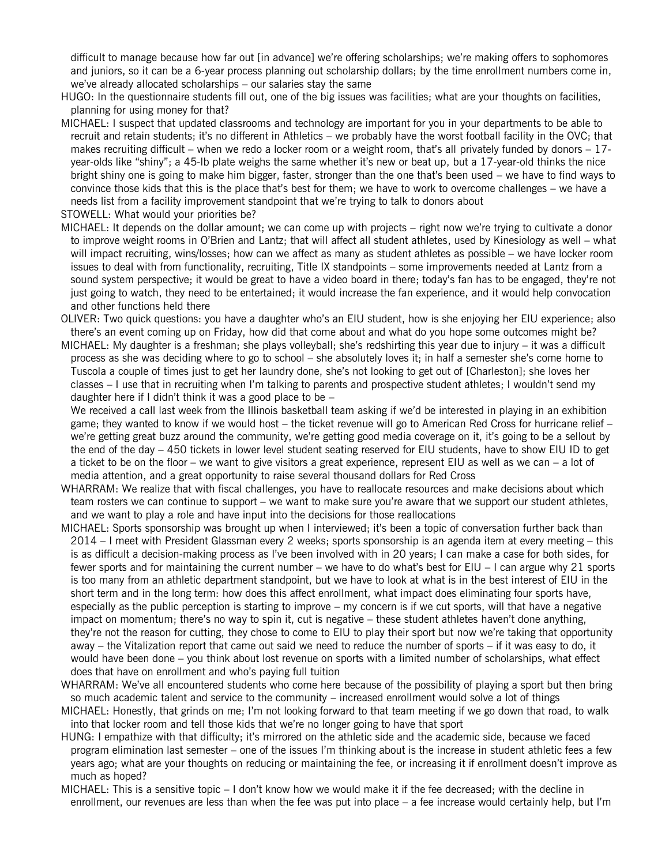difficult to manage because how far out [in advance] we're offering scholarships; we're making offers to sophomores and juniors, so it can be a 6-year process planning out scholarship dollars; by the time enrollment numbers come in, we've already allocated scholarships – our salaries stay the same

- HUGO: In the questionnaire students fill out, one of the big issues was facilities; what are your thoughts on facilities, planning for using money for that?
- MICHAEL: I suspect that updated classrooms and technology are important for you in your departments to be able to recruit and retain students; it's no different in Athletics – we probably have the worst football facility in the OVC; that makes recruiting difficult – when we redo a locker room or a weight room, that's all privately funded by donors  $-17$ year-olds like "shiny"; a 45-lb plate weighs the same whether it's new or beat up, but a 17-year-old thinks the nice bright shiny one is going to make him bigger, faster, stronger than the one that's been used – we have to find ways to convince those kids that this is the place that's best for them; we have to work to overcome challenges – we have a needs list from a facility improvement standpoint that we're trying to talk to donors about
- STOWELL: What would your priorities be?
- MICHAEL: It depends on the dollar amount; we can come up with projects right now we're trying to cultivate a donor to improve weight rooms in O'Brien and Lantz; that will affect all student athletes, used by Kinesiology as well – what will impact recruiting, wins/losses; how can we affect as many as student athletes as possible – we have locker room issues to deal with from functionality, recruiting, Title IX standpoints – some improvements needed at Lantz from a sound system perspective; it would be great to have a video board in there; today's fan has to be engaged, they're not just going to watch, they need to be entertained; it would increase the fan experience, and it would help convocation and other functions held there
- OLIVER: Two quick questions: you have a daughter who's an EIU student, how is she enjoying her EIU experience; also there's an event coming up on Friday, how did that come about and what do you hope some outcomes might be?
- MICHAEL: My daughter is a freshman; she plays volleyball; she's redshirting this year due to injury it was a difficult process as she was deciding where to go to school – she absolutely loves it; in half a semester she's come home to Tuscola a couple of times just to get her laundry done, she's not looking to get out of [Charleston]; she loves her classes – I use that in recruiting when I'm talking to parents and prospective student athletes; I wouldn't send my daughter here if I didn't think it was a good place to be –

We received a call last week from the Illinois basketball team asking if we'd be interested in playing in an exhibition game; they wanted to know if we would host – the ticket revenue will go to American Red Cross for hurricane relief – we're getting great buzz around the community, we're getting good media coverage on it, it's going to be a sellout by the end of the day – 450 tickets in lower level student seating reserved for EIU students, have to show EIU ID to get a ticket to be on the floor – we want to give visitors a great experience, represent EIU as well as we can – a lot of media attention, and a great opportunity to raise several thousand dollars for Red Cross

- WHARRAM: We realize that with fiscal challenges, you have to reallocate resources and make decisions about which team rosters we can continue to support – we want to make sure you're aware that we support our student athletes, and we want to play a role and have input into the decisions for those reallocations
- MICHAEL: Sports sponsorship was brought up when I interviewed; it's been a topic of conversation further back than 2014 – I meet with President Glassman every 2 weeks; sports sponsorship is an agenda item at every meeting – this is as difficult a decision-making process as I've been involved with in 20 years; I can make a case for both sides, for fewer sports and for maintaining the current number – we have to do what's best for EIU – I can argue why 21 sports is too many from an athletic department standpoint, but we have to look at what is in the best interest of EIU in the short term and in the long term: how does this affect enrollment, what impact does eliminating four sports have, especially as the public perception is starting to improve – my concern is if we cut sports, will that have a negative impact on momentum; there's no way to spin it, cut is negative – these student athletes haven't done anything, they're not the reason for cutting, they chose to come to EIU to play their sport but now we're taking that opportunity away – the Vitalization report that came out said we need to reduce the number of sports – if it was easy to do, it would have been done – you think about lost revenue on sports with a limited number of scholarships, what effect does that have on enrollment and who's paying full tuition
- WHARRAM: We've all encountered students who come here because of the possibility of playing a sport but then bring so much academic talent and service to the community – increased enrollment would solve a lot of things
- MICHAEL: Honestly, that grinds on me; I'm not looking forward to that team meeting if we go down that road, to walk into that locker room and tell those kids that we're no longer going to have that sport
- HUNG: I empathize with that difficulty; it's mirrored on the athletic side and the academic side, because we faced program elimination last semester – one of the issues I'm thinking about is the increase in student athletic fees a few years ago; what are your thoughts on reducing or maintaining the fee, or increasing it if enrollment doesn't improve as much as hoped?
- MICHAEL: This is a sensitive topic I don't know how we would make it if the fee decreased; with the decline in enrollment, our revenues are less than when the fee was put into place – a fee increase would certainly help, but I'm